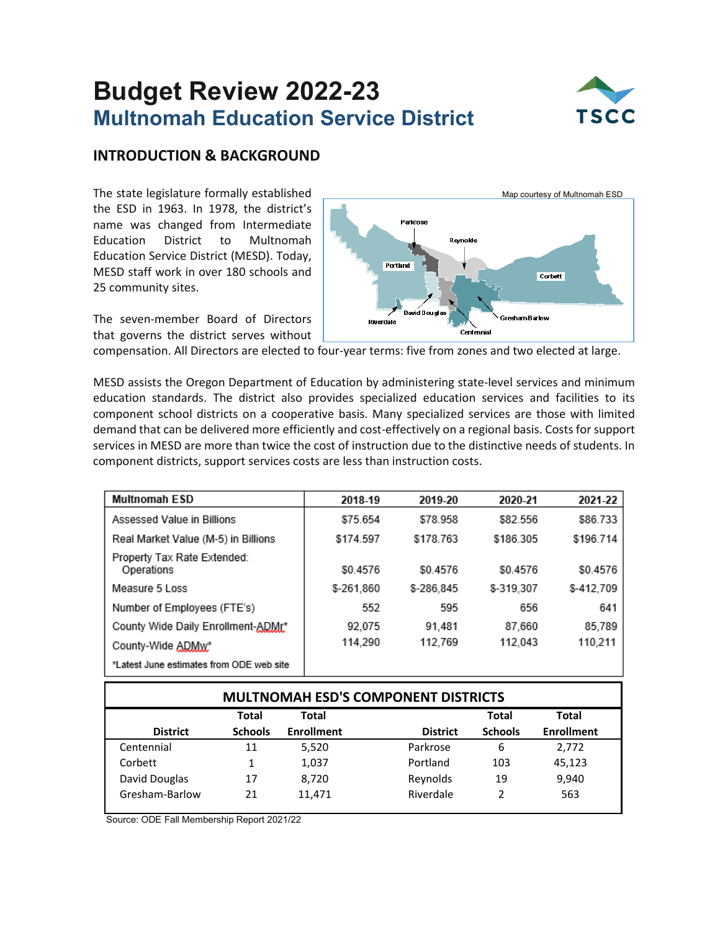# **Budget Review 2022-23 Multnomah Education Service District**



## **INTRODUCTION & BACKGROUND**

The state legislature formally established the ESD in 1963. In 1978, the district's name was changed from Intermediate Education District to Multnomah Education Service District (MESD). Today, MESD staff work in over 180 schools and 25 community sites.

The seven-member Board of Directors that governs the district serves without



compensation. All Directors are elected to four-year terms: five from zones and two elected at large.

MESD assists the Oregon Department of Education by administering state-level services and minimum education standards. The district also provides specialized education services and facilities to its component school districts on a cooperative basis. Many specialized services are those with limited demand that can be delivered more efficiently and cost-effectively on a regional basis. Costs for support services in MESD are more than twice the cost of instruction due to the distinctive needs of students. In component districts, support services costs are less than instruction costs.

| <b>Multnomah ESD</b>                      | 2018-19    | 2019-20    | 2020-21    | 2021-22    |
|-------------------------------------------|------------|------------|------------|------------|
| Assessed Value in Billions                | \$75.654   | \$78.958   | \$82.556   | \$86.733   |
| Real Market Value (M-5) in Billions       | \$174.597  | \$178.763  | \$186.305  | \$196.714  |
| Property Tax Rate Extended:<br>Operations | \$0.4576   | \$0.4576   | \$0.4576   | \$0.4576   |
| Measure 5 Loss                            | \$-261.860 | \$-286.845 | \$-319,307 | \$-412.709 |
| Number of Employees (FTE's)               | 552        | 595        | 656        | 641        |
| County Wide Daily Enrollment-ADMr*        | 92.075     | 91.481     | 87.660     | 85,789     |
| County-Wide ADMw*                         | 114,290    | 112,769    | 112,043    | 110,211    |
| *Latest June estimates from ODE web site  |            |            |            |            |

| <b>MULTNOMAH ESD'S COMPONENT DISTRICTS</b>            |                |                   |                 |                |                   |  |  |  |
|-------------------------------------------------------|----------------|-------------------|-----------------|----------------|-------------------|--|--|--|
| <b>Total</b><br><b>Total</b><br><b>Total</b><br>Total |                |                   |                 |                |                   |  |  |  |
| <b>District</b>                                       | <b>Schools</b> | <b>Enrollment</b> | <b>District</b> | <b>Schools</b> | <b>Enrollment</b> |  |  |  |
| Centennial                                            | 11             | 5,520             | Parkrose        | 6              | 2,772             |  |  |  |
| Corbett                                               |                | 1,037             | Portland        | 103            | 45,123            |  |  |  |
| David Douglas                                         | 17             | 8.720             | Reynolds        | 19             | 9,940             |  |  |  |
| Gresham-Barlow                                        | 21             | 11,471            | Riverdale       | 2              | 563               |  |  |  |

Source: ODE Fall Membership Report 2021/22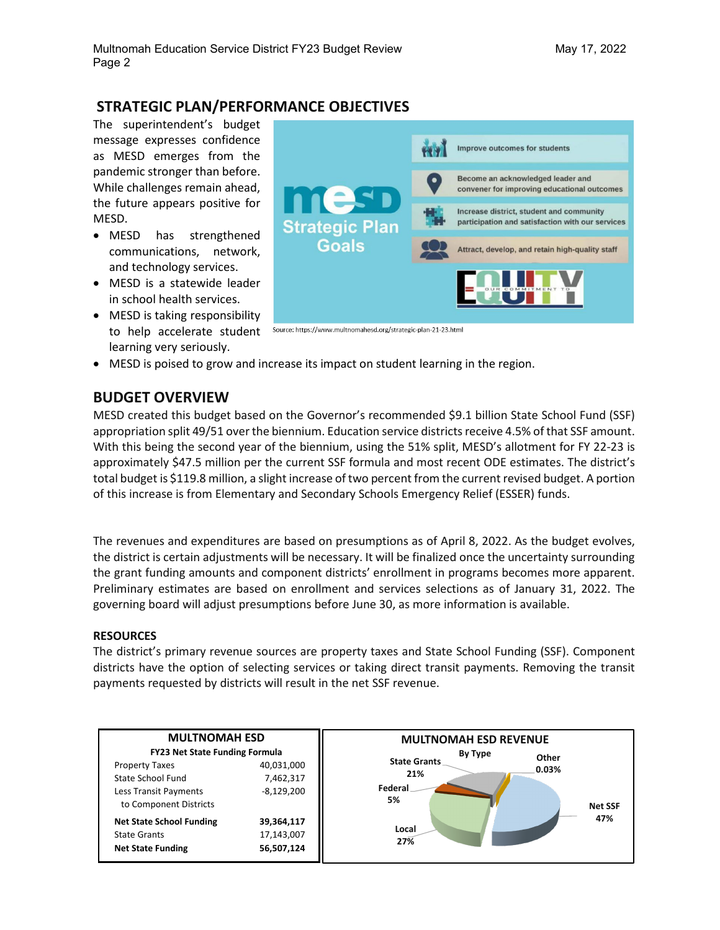## **STRATEGIC PLAN/PERFORMANCE OBJECTIVES**

The superintendent's budget message expresses confidence as MESD emerges from the pandemic stronger than before. While challenges remain ahead, the future appears positive for MESD.

- MESD has strengthened communications, network, and technology services.
- MESD is a statewide leader in school health services.
- MESD is taking responsibility to help accelerate student Source: https://www.multnomahesd.org/strategic-plan-21-23.html learning very seriously.



• MESD is poised to grow and increase its impact on student learning in the region.

## **BUDGET OVERVIEW**

MESD created this budget based on the Governor's recommended \$9.1 billion State School Fund (SSF) appropriation split 49/51 over the biennium. Education service districts receive 4.5% of that SSF amount. With this being the second year of the biennium, using the 51% split, MESD's allotment for FY 22-23 is approximately \$47.5 million per the current SSF formula and most recent ODE estimates. The district's total budget is \$119.8 million, a slight increase of two percent from the current revised budget. A portion of this increase is from Elementary and Secondary Schools Emergency Relief (ESSER) funds.

The revenues and expenditures are based on presumptions as of April 8, 2022. As the budget evolves, the district is certain adjustments will be necessary. It will be finalized once the uncertainty surrounding the grant funding amounts and component districts' enrollment in programs becomes more apparent. Preliminary estimates are based on enrollment and services selections as of January 31, 2022. The governing board will adjust presumptions before June 30, as more information is available.

#### **RESOURCES**

The district's primary revenue sources are property taxes and State School Funding (SSF). Component districts have the option of selecting services or taking direct transit payments. Removing the transit payments requested by districts will result in the net SSF revenue.

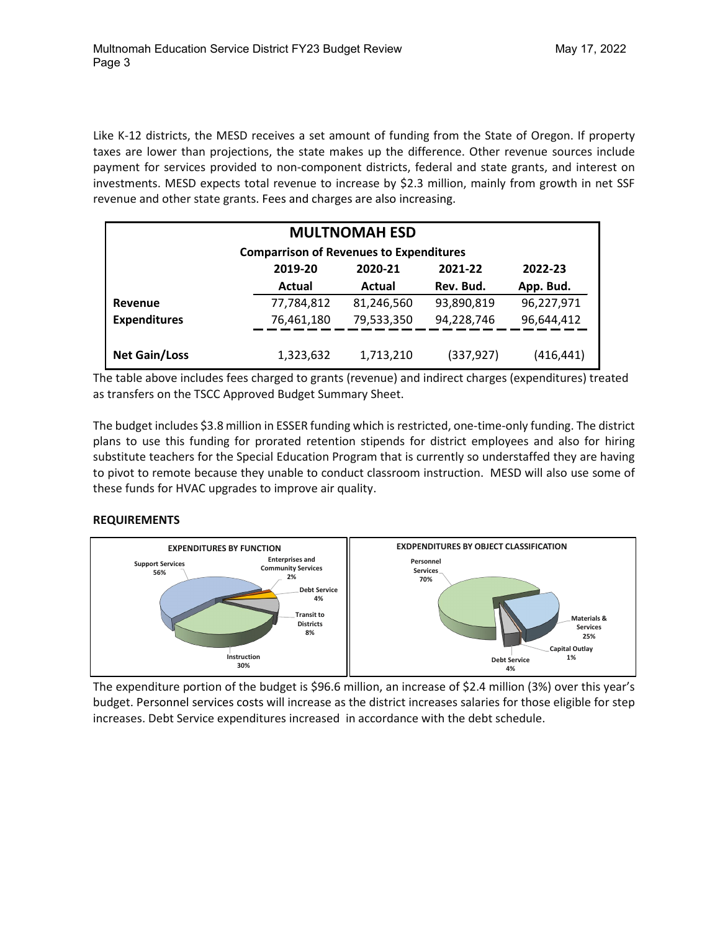Like K-12 districts, the MESD receives a set amount of funding from the State of Oregon. If property taxes are lower than projections, the state makes up the difference. Other revenue sources include payment for services provided to non-component districts, federal and state grants, and interest on investments. MESD expects total revenue to increase by \$2.3 million, mainly from growth in net SSF revenue and other state grants. Fees and charges are also increasing.

| <b>MULTNOMAH ESD</b>                           |            |            |            |            |  |  |  |
|------------------------------------------------|------------|------------|------------|------------|--|--|--|
| <b>Comparrison of Revenues to Expenditures</b> |            |            |            |            |  |  |  |
| 2021-22<br>2019-20<br>2020-21<br>2022-23       |            |            |            |            |  |  |  |
| Rev. Bud.<br>Actual<br>App. Bud.<br>Actual     |            |            |            |            |  |  |  |
| Revenue                                        | 77,784,812 | 81,246,560 | 93,890,819 | 96,227,971 |  |  |  |
| <b>Expenditures</b>                            | 76,461,180 | 79,533,350 | 94,228,746 | 96,644,412 |  |  |  |
|                                                |            |            |            |            |  |  |  |
| <b>Net Gain/Loss</b>                           | 1,323,632  | 1,713,210  | (337, 927) | (416, 441) |  |  |  |

The table above includes fees charged to grants (revenue) and indirect charges (expenditures) treated as transfers on the TSCC Approved Budget Summary Sheet.

The budget includes \$3.8 million in ESSER funding which is restricted, one-time-only funding. The district plans to use this funding for prorated retention stipends for district employees and also for hiring substitute teachers for the Special Education Program that is currently so understaffed they are having to pivot to remote because they unable to conduct classroom instruction. MESD will also use some of these funds for HVAC upgrades to improve air quality.

#### **REQUIREMENTS**



The expenditure portion of the budget is \$96.6 million, an increase of \$2.4 million (3%) over this year's budget. Personnel services costs will increase as the district increases salaries for those eligible for step increases. Debt Service expenditures increased in accordance with the debt schedule.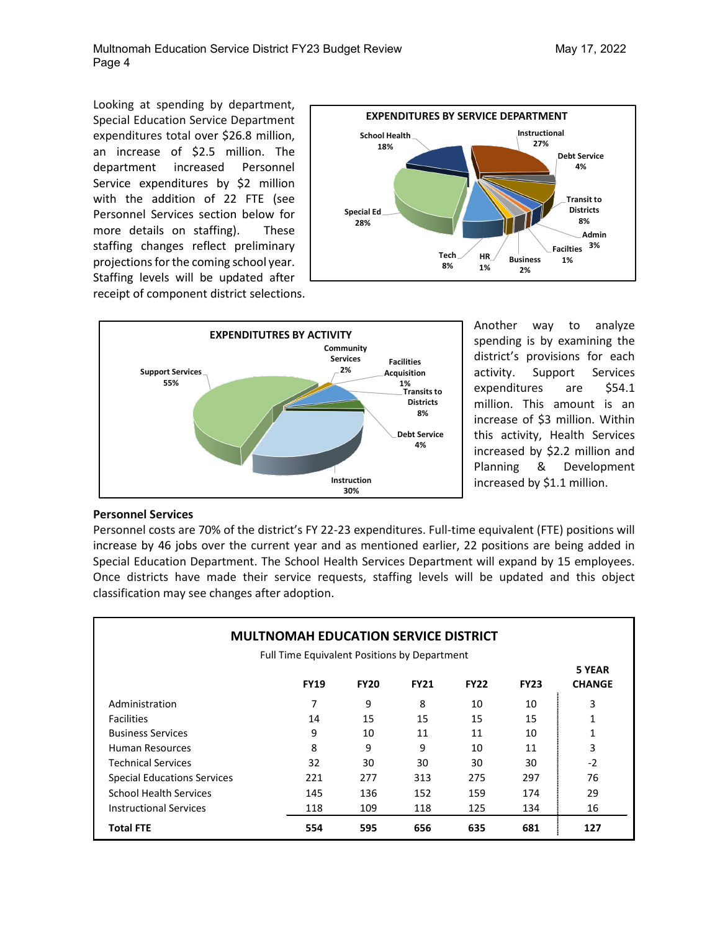Looking at spending by department, Special Education Service Department expenditures total over \$26.8 million, an increase of \$2.5 million. The department increased Personnel Service expenditures by \$2 million with the addition of 22 FTE (see Personnel Services section below for more details on staffing). These staffing changes reflect preliminary projections for the coming school year. Staffing levels will be updated after receipt of component district selections.





Another way to analyze spending is by examining the district's provisions for each activity. Support Services expenditures are \$54.1 million. This amount is an increase of \$3 million. Within this activity, Health Services increased by \$2.2 million and Planning & Development increased by \$1.1 million.

#### **Personnel Services**

Personnel costs are 70% of the district's FY 22-23 expenditures. Full-time equivalent (FTE) positions will increase by 46 jobs over the current year and as mentioned earlier, 22 positions are being added in Special Education Department. The School Health Services Department will expand by 15 employees. Once districts have made their service requests, staffing levels will be updated and this object classification may see changes after adoption.

| <b>MULTNOMAH EDUCATION SERVICE DISTRICT</b>                                                                             |     |     |     |     |     |      |
|-------------------------------------------------------------------------------------------------------------------------|-----|-----|-----|-----|-----|------|
| Full Time Equivalent Positions by Department<br><b>FY19</b><br><b>FY20</b><br><b>FY21</b><br><b>FY22</b><br><b>FY23</b> |     |     |     |     |     |      |
| Administration                                                                                                          | 7   | 9   | 8   | 10  | 10  | 3    |
| <b>Facilities</b>                                                                                                       | 14  | 15  | 15  | 15  | 15  | 1    |
| <b>Business Services</b>                                                                                                | 9   | 10  | 11  | 11  | 10  | 1    |
| <b>Human Resources</b>                                                                                                  | 8   | 9   | 9   | 10  | 11  | 3    |
| Technical Services                                                                                                      | 32  | 30  | 30  | 30  | 30  | $-2$ |
| <b>Special Educations Services</b>                                                                                      | 221 | 277 | 313 | 275 | 297 | 76   |
| <b>School Health Services</b>                                                                                           | 145 | 136 | 152 | 159 | 174 | 29   |
| <b>Instructional Services</b>                                                                                           | 118 | 109 | 118 | 125 | 134 | 16   |
| Total FTE                                                                                                               | 554 | 595 | 656 | 635 | 681 | 127  |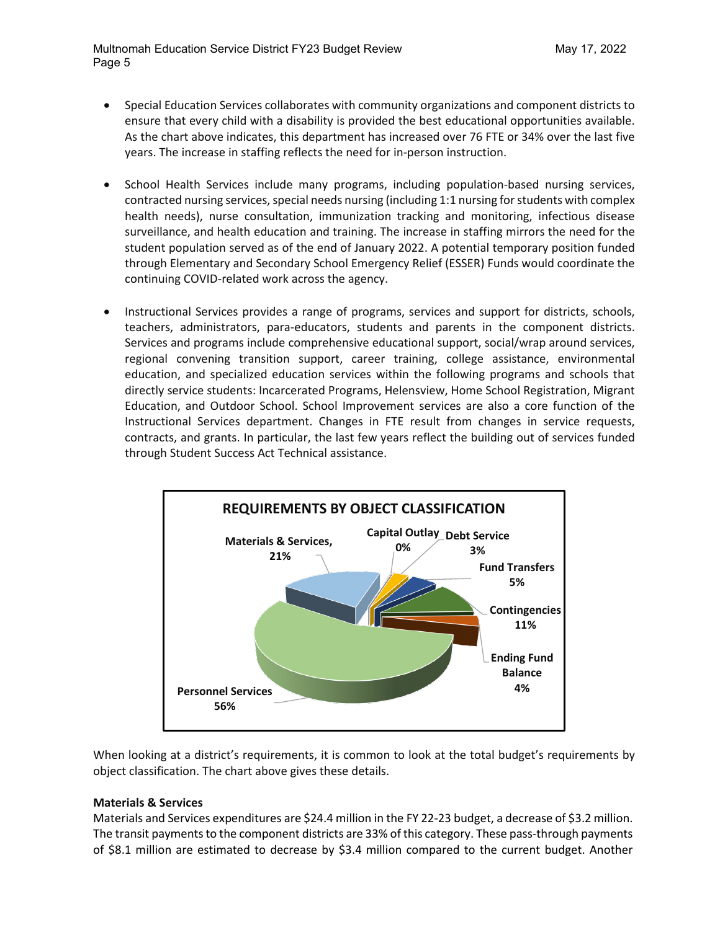- Special Education Services collaborates with community organizations and component districts to ensure that every child with a disability is provided the best educational opportunities available. As the chart above indicates, this department has increased over 76 FTE or 34% over the last five years. The increase in staffing reflects the need for in-person instruction.
- School Health Services include many programs, including population-based nursing services, contracted nursing services, special needs nursing (including 1:1 nursing for students with complex health needs), nurse consultation, immunization tracking and monitoring, infectious disease surveillance, and health education and training. The increase in staffing mirrors the need for the student population served as of the end of January 2022. A potential temporary position funded through Elementary and Secondary School Emergency Relief (ESSER) Funds would coordinate the continuing COVID-related work across the agency.
- Instructional Services provides a range of programs, services and support for districts, schools, teachers, administrators, para-educators, students and parents in the component districts. Services and programs include comprehensive educational support, social/wrap around services, regional convening transition support, career training, college assistance, environmental education, and specialized education services within the following programs and schools that directly service students: Incarcerated Programs, Helensview, Home School Registration, Migrant Education, and Outdoor School. School Improvement services are also a core function of the Instructional Services department. Changes in FTE result from changes in service requests, contracts, and grants. In particular, the last few years reflect the building out of services funded through Student Success Act Technical assistance.



When looking at a district's requirements, it is common to look at the total budget's requirements by object classification. The chart above gives these details.

#### **Materials & Services**

Materials and Services expenditures are \$24.4 million in the FY 22-23 budget, a decrease of \$3.2 million. The transit payments to the component districts are 33% of this category. These pass-through payments of \$8.1 million are estimated to decrease by \$3.4 million compared to the current budget. Another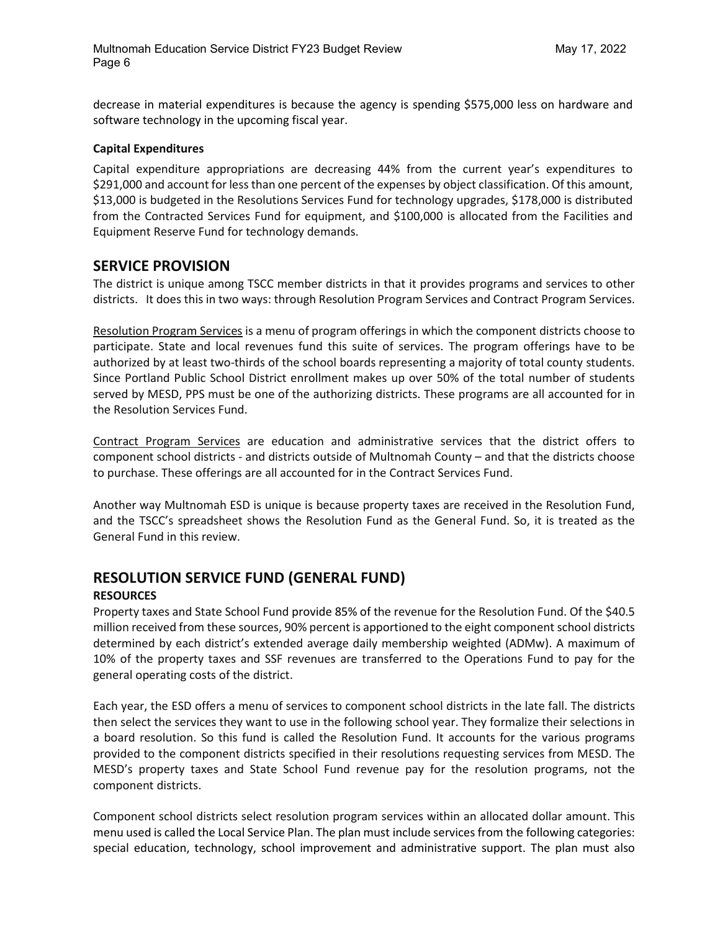decrease in material expenditures is because the agency is spending \$575,000 less on hardware and software technology in the upcoming fiscal year.

#### **Capital Expenditures**

Capital expenditure appropriations are decreasing 44% from the current year's expenditures to \$291,000 and account for less than one percent of the expenses by object classification. Of this amount, \$13,000 is budgeted in the Resolutions Services Fund for technology upgrades, \$178,000 is distributed from the Contracted Services Fund for equipment, and \$100,000 is allocated from the Facilities and Equipment Reserve Fund for technology demands.

## **SERVICE PROVISION**

The district is unique among TSCC member districts in that it provides programs and services to other districts. It does this in two ways: through Resolution Program Services and Contract Program Services.

Resolution Program Services is a menu of program offerings in which the component districts choose to participate. State and local revenues fund this suite of services. The program offerings have to be authorized by at least two-thirds of the school boards representing a majority of total county students. Since Portland Public School District enrollment makes up over 50% of the total number of students served by MESD, PPS must be one of the authorizing districts. These programs are all accounted for in the Resolution Services Fund.

Contract Program Services are education and administrative services that the district offers to component school districts - and districts outside of Multnomah County – and that the districts choose to purchase. These offerings are all accounted for in the Contract Services Fund.

Another way Multnomah ESD is unique is because property taxes are received in the Resolution Fund, and the TSCC's spreadsheet shows the Resolution Fund as the General Fund. So, it is treated as the General Fund in this review.

## **RESOLUTION SERVICE FUND (GENERAL FUND)**

#### **RESOURCES**

Property taxes and State School Fund provide 85% of the revenue for the Resolution Fund. Of the \$40.5 million received from these sources, 90% percent is apportioned to the eight component school districts determined by each district's extended average daily membership weighted (ADMw). A maximum of 10% of the property taxes and SSF revenues are transferred to the Operations Fund to pay for the general operating costs of the district.

Each year, the ESD offers a menu of services to component school districts in the late fall. The districts then select the services they want to use in the following school year. They formalize their selections in a board resolution. So this fund is called the Resolution Fund. It accounts for the various programs provided to the component districts specified in their resolutions requesting services from MESD. The MESD's property taxes and State School Fund revenue pay for the resolution programs, not the component districts.

Component school districts select resolution program services within an allocated dollar amount. This menu used is called the Local Service Plan. The plan must include services from the following categories: special education, technology, school improvement and administrative support. The plan must also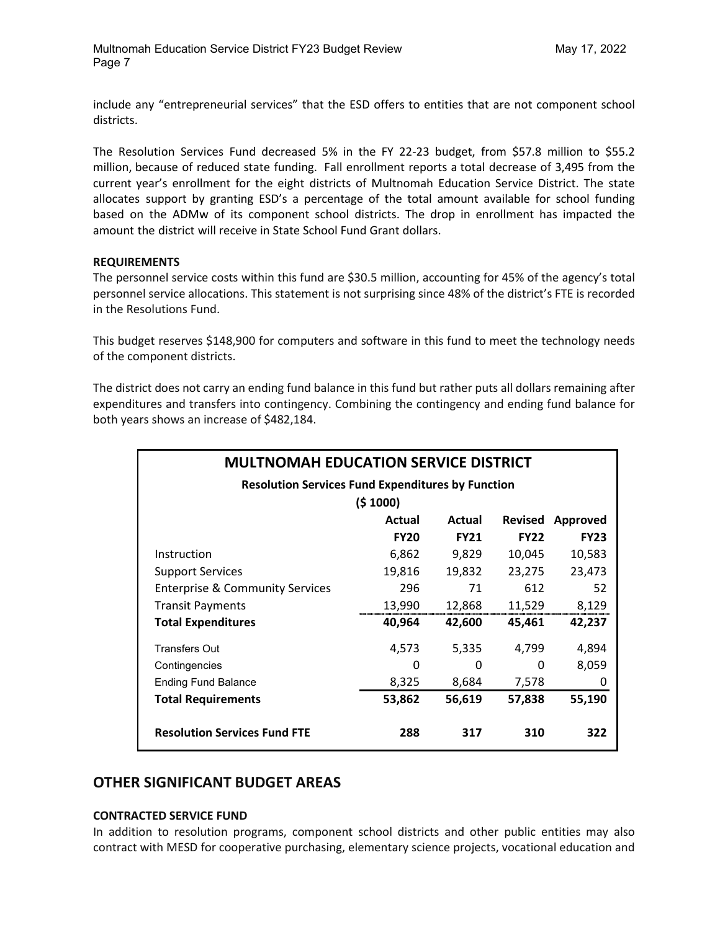include any "entrepreneurial services" that the ESD offers to entities that are not component school districts.

The Resolution Services Fund decreased 5% in the FY 22-23 budget, from \$57.8 million to \$55.2 million, because of reduced state funding. Fall enrollment reports a total decrease of 3,495 from the current year's enrollment for the eight districts of Multnomah Education Service District. The state allocates support by granting ESD's a percentage of the total amount available for school funding based on the ADMw of its component school districts. The drop in enrollment has impacted the amount the district will receive in State School Fund Grant dollars.

#### **REQUIREMENTS**

The personnel service costs within this fund are \$30.5 million, accounting for 45% of the agency's total personnel service allocations. This statement is not surprising since 48% of the district's FTE is recorded in the Resolutions Fund.

This budget reserves \$148,900 for computers and software in this fund to meet the technology needs of the component districts.

The district does not carry an ending fund balance in this fund but rather puts all dollars remaining after expenditures and transfers into contingency. Combining the contingency and ending fund balance for both years shows an increase of \$482,184.

| <b>MULTNOMAH EDUCATION SERVICE DISTRICT</b>              |             |             |                |             |  |  |  |  |
|----------------------------------------------------------|-------------|-------------|----------------|-------------|--|--|--|--|
| <b>Resolution Services Fund Expenditures by Function</b> |             |             |                |             |  |  |  |  |
|                                                          | (5 1000)    |             |                |             |  |  |  |  |
|                                                          | Actual      | Actual      | <b>Revised</b> | Approved    |  |  |  |  |
|                                                          | <b>FY20</b> | <b>FY21</b> | <b>FY22</b>    | <b>FY23</b> |  |  |  |  |
| Instruction                                              | 6,862       | 9,829       | 10,045         | 10,583      |  |  |  |  |
| Support Services                                         | 19,816      | 19,832      | 23,275         | 23,473      |  |  |  |  |
| <b>Enterprise &amp; Community Services</b>               | 296         | 71          | 612            | 52          |  |  |  |  |
| Transit Payments                                         | 13,990      | 12,868      | 11,529         | 8,129       |  |  |  |  |
| <b>Total Expenditures</b>                                | 40,964      | 42,600      | 45,461         | 42,237      |  |  |  |  |
| <b>Transfers Out</b>                                     | 4,573       | 5,335       | 4.799          | 4,894       |  |  |  |  |
| Contingencies                                            | 0           | 0           | 0              | 8,059       |  |  |  |  |
| <b>Ending Fund Balance</b>                               | 8,325       | 8,684       | 7,578          | 0           |  |  |  |  |
| <b>Total Requirements</b>                                | 53,862      | 56,619      | 57,838         | 55,190      |  |  |  |  |
| <b>Resolution Services Fund FTE</b>                      | 288         | 317         | 310            | 322         |  |  |  |  |

### **OTHER SIGNIFICANT BUDGET AREAS**

#### **CONTRACTED SERVICE FUND**

In addition to resolution programs, component school districts and other public entities may also contract with MESD for cooperative purchasing, elementary science projects, vocational education and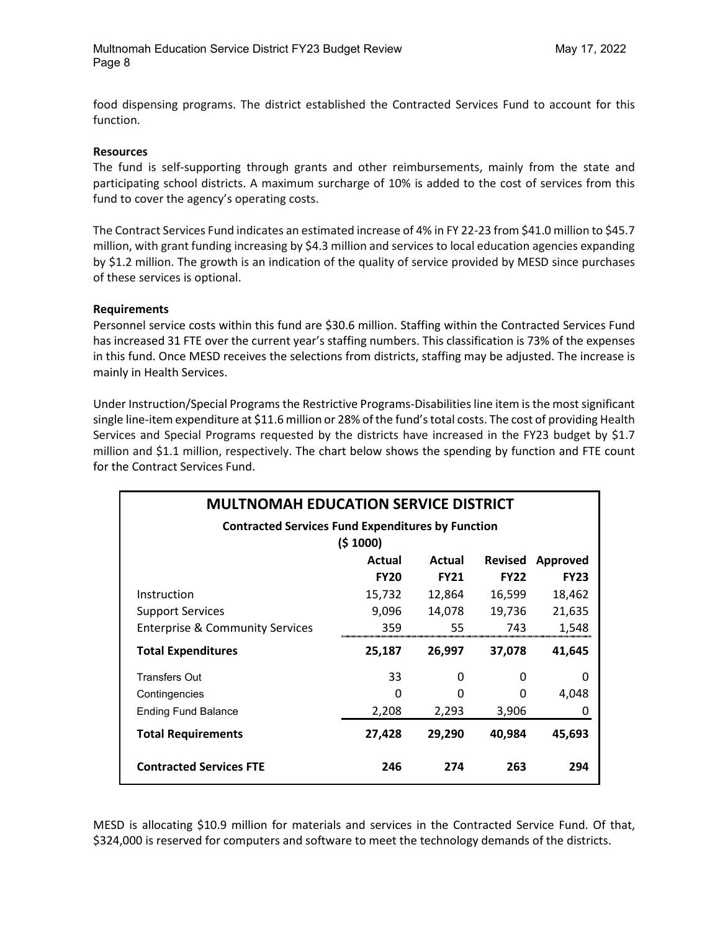food dispensing programs. The district established the Contracted Services Fund to account for this function.

#### **Resources**

The fund is self-supporting through grants and other reimbursements, mainly from the state and participating school districts. A maximum surcharge of 10% is added to the cost of services from this fund to cover the agency's operating costs.

The Contract Services Fund indicates an estimated increase of 4% in FY 22-23 from \$41.0 million to \$45.7 million, with grant funding increasing by \$4.3 million and services to local education agencies expanding by \$1.2 million. The growth is an indication of the quality of service provided by MESD since purchases of these services is optional.

#### **Requirements**

Personnel service costs within this fund are \$30.6 million. Staffing within the Contracted Services Fund has increased 31 FTE over the current year's staffing numbers. This classification is 73% of the expenses in this fund. Once MESD receives the selections from districts, staffing may be adjusted. The increase is mainly in Health Services.

Under Instruction/Special Programs the Restrictive Programs-Disabilitiesline item is the most significant single line-item expenditure at \$11.6 million or 28% of the fund's total costs. The cost of providing Health Services and Special Programs requested by the districts have increased in the FY23 budget by \$1.7 million and \$1.1 million, respectively. The chart below shows the spending by function and FTE count for the Contract Services Fund.

| <b>MULTNOMAH EDUCATION SERVICE DISTRICT</b>              |             |             |                |             |  |  |  |  |
|----------------------------------------------------------|-------------|-------------|----------------|-------------|--|--|--|--|
| <b>Contracted Services Fund Expenditures by Function</b> |             |             |                |             |  |  |  |  |
|                                                          | (5 1000)    |             |                |             |  |  |  |  |
|                                                          | Actual      | Actual      | <b>Revised</b> | Approved    |  |  |  |  |
|                                                          | <b>FY20</b> | <b>FY21</b> | <b>FY22</b>    | <b>FY23</b> |  |  |  |  |
| Instruction                                              | 15,732      | 12,864      | 16,599         | 18,462      |  |  |  |  |
| <b>Support Services</b>                                  | 9,096       | 14,078      | 19,736         | 21,635      |  |  |  |  |
| <b>Enterprise &amp; Community Services</b>               | 359         | 55          | 743            | 1,548       |  |  |  |  |
| <b>Total Expenditures</b>                                | 25,187      | 26,997      | 37,078         | 41,645      |  |  |  |  |
| <b>Transfers Out</b>                                     | 33          | 0           | 0              |             |  |  |  |  |
| Contingencies                                            | 0           | O           | $\Omega$       | 4,048       |  |  |  |  |
| <b>Ending Fund Balance</b>                               | 2,208       | 2,293       | 3,906          | 0           |  |  |  |  |
| <b>Total Requirements</b>                                | 27,428      | 29,290      | 40,984         | 45,693      |  |  |  |  |
| <b>Contracted Services FTE</b>                           | 246         | 274         | 263            | 294         |  |  |  |  |

MESD is allocating \$10.9 million for materials and services in the Contracted Service Fund. Of that, \$324,000 is reserved for computers and software to meet the technology demands of the districts.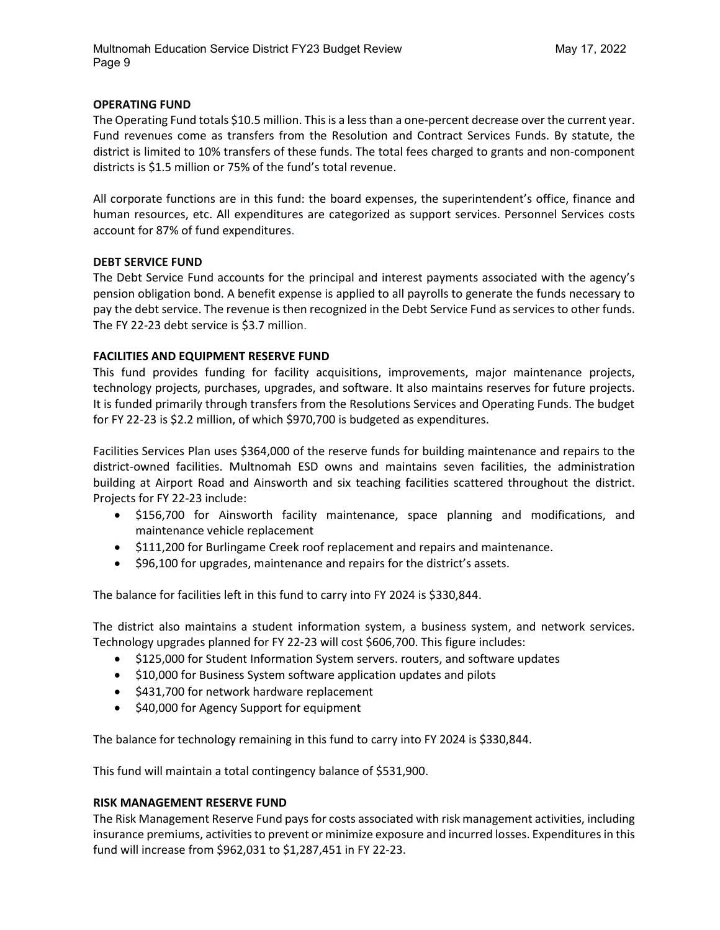#### **OPERATING FUND**

The Operating Fund totals \$10.5 million. This is a less than a one-percent decrease over the current year. Fund revenues come as transfers from the Resolution and Contract Services Funds. By statute, the district is limited to 10% transfers of these funds. The total fees charged to grants and non-component districts is \$1.5 million or 75% of the fund's total revenue.

All corporate functions are in this fund: the board expenses, the superintendent's office, finance and human resources, etc. All expenditures are categorized as support services. Personnel Services costs account for 87% of fund expenditures.

#### **DEBT SERVICE FUND**

The Debt Service Fund accounts for the principal and interest payments associated with the agency's pension obligation bond. A benefit expense is applied to all payrolls to generate the funds necessary to pay the debt service. The revenue is then recognized in the Debt Service Fund as services to other funds. The FY 22-23 debt service is \$3.7 million.

#### **FACILITIES AND EQUIPMENT RESERVE FUND**

This fund provides funding for facility acquisitions, improvements, major maintenance projects, technology projects, purchases, upgrades, and software. It also maintains reserves for future projects. It is funded primarily through transfers from the Resolutions Services and Operating Funds. The budget for FY 22-23 is \$2.2 million, of which \$970,700 is budgeted as expenditures.

Facilities Services Plan uses \$364,000 of the reserve funds for building maintenance and repairs to the district-owned facilities. Multnomah ESD owns and maintains seven facilities, the administration building at Airport Road and Ainsworth and six teaching facilities scattered throughout the district. Projects for FY 22-23 include:

- \$156,700 for Ainsworth facility maintenance, space planning and modifications, and maintenance vehicle replacement
- \$111,200 for Burlingame Creek roof replacement and repairs and maintenance.
- \$96,100 for upgrades, maintenance and repairs for the district's assets.

The balance for facilities left in this fund to carry into FY 2024 is \$330,844.

The district also maintains a student information system, a business system, and network services. Technology upgrades planned for FY 22-23 will cost \$606,700. This figure includes:

- \$125,000 for Student Information System servers. routers, and software updates
- \$10,000 for Business System software application updates and pilots
- \$431,700 for network hardware replacement
- \$40,000 for Agency Support for equipment

The balance for technology remaining in this fund to carry into FY 2024 is \$330,844.

This fund will maintain a total contingency balance of \$531,900.

#### **RISK MANAGEMENT RESERVE FUND**

The Risk Management Reserve Fund pays for costs associated with risk management activities, including insurance premiums, activities to prevent or minimize exposure and incurred losses. Expenditures in this fund will increase from \$962,031 to \$1,287,451 in FY 22-23.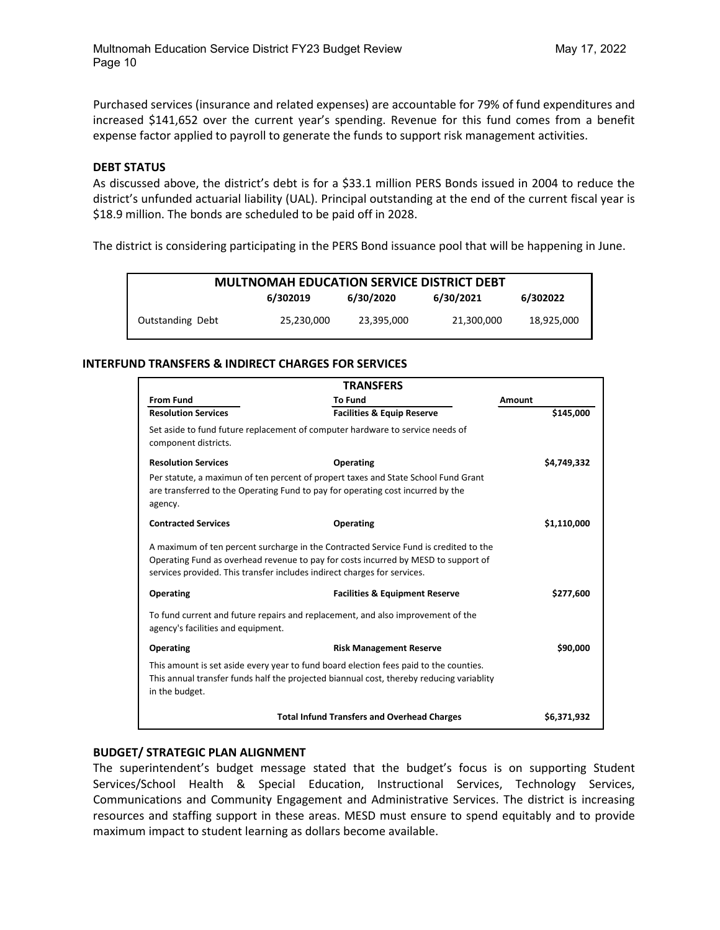Purchased services (insurance and related expenses) are accountable for 79% of fund expenditures and increased \$141,652 over the current year's spending. Revenue for this fund comes from a benefit expense factor applied to payroll to generate the funds to support risk management activities.

#### **DEBT STATUS**

As discussed above, the district's debt is for a \$33.1 million PERS Bonds issued in 2004 to reduce the district's unfunded actuarial liability (UAL). Principal outstanding at the end of the current fiscal year is \$18.9 million. The bonds are scheduled to be paid off in 2028.

The district is considering participating in the PERS Bond issuance pool that will be happening in June.

| <b>MULTNOMAH EDUCATION SERVICE DISTRICT DEBT</b> |            |            |            |            |  |  |  |
|--------------------------------------------------|------------|------------|------------|------------|--|--|--|
| 6/30/2020<br>6/30/2021<br>6/302022<br>6/302019   |            |            |            |            |  |  |  |
| Outstanding Debt                                 | 25,230,000 | 23,395,000 | 21,300,000 | 18,925,000 |  |  |  |

#### **INTERFUND TRANSFERS & INDIRECT CHARGES FOR SERVICES**

| <b>TRANSFERS</b>                   |                                                                                                                                                                                                                                                        |             |  |  |  |
|------------------------------------|--------------------------------------------------------------------------------------------------------------------------------------------------------------------------------------------------------------------------------------------------------|-------------|--|--|--|
| <b>From Fund</b>                   | <b>To Fund</b>                                                                                                                                                                                                                                         | Amount      |  |  |  |
| <b>Resolution Services</b>         | <b>Facilities &amp; Equip Reserve</b>                                                                                                                                                                                                                  | \$145,000   |  |  |  |
| component districts.               | Set aside to fund future replacement of computer hardware to service needs of                                                                                                                                                                          |             |  |  |  |
| <b>Resolution Services</b>         | <b>Operating</b>                                                                                                                                                                                                                                       | \$4,749,332 |  |  |  |
| agency.                            | Per statute, a maximun of ten percent of propert taxes and State School Fund Grant<br>are transferred to the Operating Fund to pay for operating cost incurred by the                                                                                  |             |  |  |  |
| <b>Contracted Services</b>         | <b>Operating</b>                                                                                                                                                                                                                                       | \$1,110,000 |  |  |  |
|                                    | A maximum of ten percent surcharge in the Contracted Service Fund is credited to the<br>Operating Fund as overhead revenue to pay for costs incurred by MESD to support of<br>services provided. This transfer includes indirect charges for services. |             |  |  |  |
| Operating                          | <b>Facilities &amp; Equipment Reserve</b>                                                                                                                                                                                                              | \$277,600   |  |  |  |
| agency's facilities and equipment. | To fund current and future repairs and replacement, and also improvement of the                                                                                                                                                                        |             |  |  |  |
| <b>Operating</b>                   | <b>Risk Management Reserve</b>                                                                                                                                                                                                                         | \$90,000    |  |  |  |
| in the budget.                     | This amount is set aside every year to fund board election fees paid to the counties.<br>This annual transfer funds half the projected biannual cost, thereby reducing variablity                                                                      |             |  |  |  |
|                                    | <b>Total Infund Transfers and Overhead Charges</b>                                                                                                                                                                                                     | \$6,371,932 |  |  |  |

#### **BUDGET/ STRATEGIC PLAN ALIGNMENT**

The superintendent's budget message stated that the budget's focus is on supporting Student Services/School Health & Special Education, Instructional Services, Technology Services, Communications and Community Engagement and Administrative Services. The district is increasing resources and staffing support in these areas. MESD must ensure to spend equitably and to provide maximum impact to student learning as dollars become available.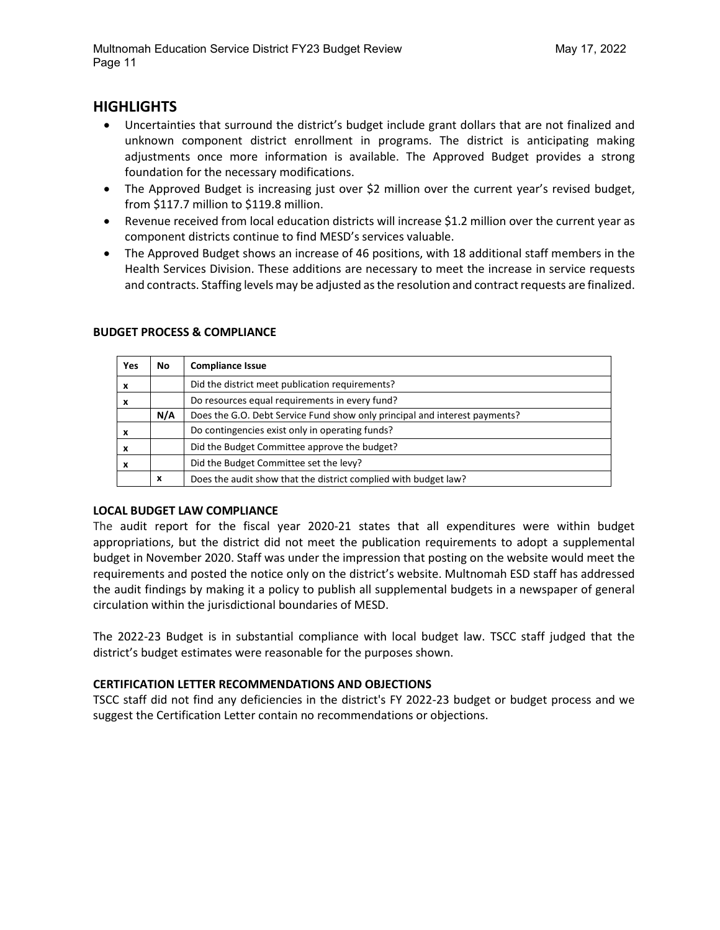## **HIGHLIGHTS**

- Uncertainties that surround the district's budget include grant dollars that are not finalized and unknown component district enrollment in programs. The district is anticipating making adjustments once more information is available. The Approved Budget provides a strong foundation for the necessary modifications.
- The Approved Budget is increasing just over \$2 million over the current year's revised budget, from \$117.7 million to \$119.8 million.
- Revenue received from local education districts will increase \$1.2 million over the current year as component districts continue to find MESD's services valuable.
- The Approved Budget shows an increase of 46 positions, with 18 additional staff members in the Health Services Division. These additions are necessary to meet the increase in service requests and contracts. Staffing levels may be adjusted as the resolution and contract requests are finalized.

| Yes | No  | <b>Compliance Issue</b>                                                    |
|-----|-----|----------------------------------------------------------------------------|
| X   |     | Did the district meet publication requirements?                            |
| X   |     | Do resources equal requirements in every fund?                             |
|     | N/A | Does the G.O. Debt Service Fund show only principal and interest payments? |
| X   |     | Do contingencies exist only in operating funds?                            |
| X   |     | Did the Budget Committee approve the budget?                               |
| X   |     | Did the Budget Committee set the levy?                                     |
|     | x   | Does the audit show that the district complied with budget law?            |

#### **BUDGET PROCESS & COMPLIANCE**

#### **LOCAL BUDGET LAW COMPLIANCE**

The audit report for the fiscal year 2020-21 states that all expenditures were within budget appropriations, but the district did not meet the publication requirements to adopt a supplemental budget in November 2020. Staff was under the impression that posting on the website would meet the requirements and posted the notice only on the district's website. Multnomah ESD staff has addressed the audit findings by making it a policy to publish all supplemental budgets in a newspaper of general circulation within the jurisdictional boundaries of MESD.

The 2022-23 Budget is in substantial compliance with local budget law. TSCC staff judged that the district's budget estimates were reasonable for the purposes shown.

#### **CERTIFICATION LETTER RECOMMENDATIONS AND OBJECTIONS**

TSCC staff did not find any deficiencies in the district's FY 2022-23 budget or budget process and we suggest the Certification Letter contain no recommendations or objections.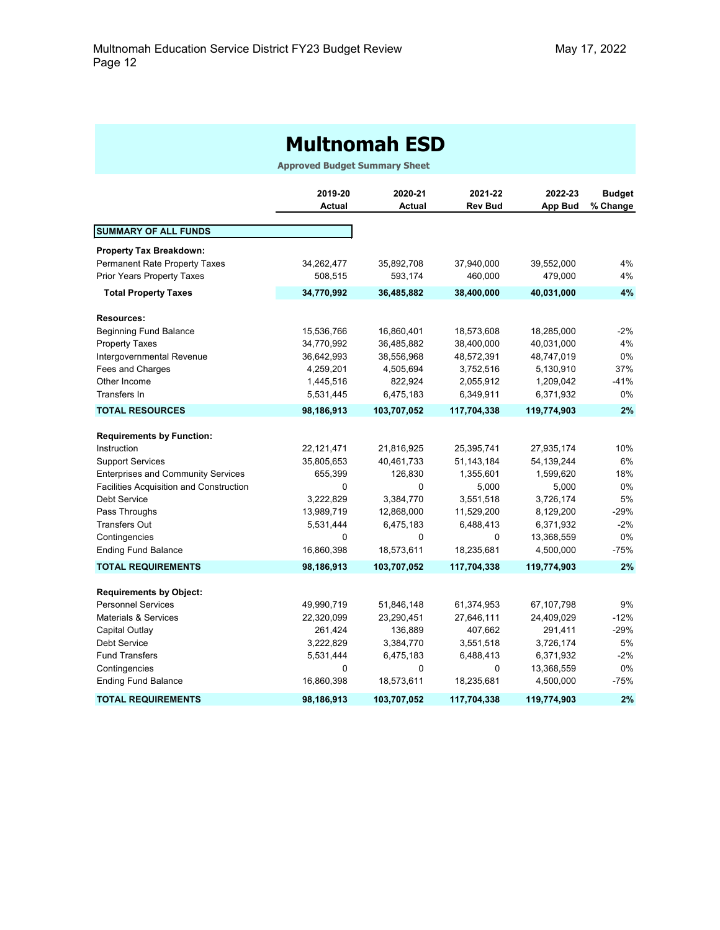## **Multnomah ESD**

**Approved Budget Summary Sheet**

|                                                | 2019-20<br><b>Actual</b> | 2020-21<br><b>Actual</b> | 2021-22<br><b>Rev Bud</b> | 2022-23        | <b>Budget</b> |
|------------------------------------------------|--------------------------|--------------------------|---------------------------|----------------|---------------|
|                                                |                          |                          |                           | <b>App Bud</b> | % Change      |
| <b>SUMMARY OF ALL FUNDS</b>                    |                          |                          |                           |                |               |
| <b>Property Tax Breakdown:</b>                 |                          |                          |                           |                |               |
| <b>Permanent Rate Property Taxes</b>           | 34,262,477               | 35,892,708               | 37,940,000                | 39,552,000     | 4%            |
| <b>Prior Years Property Taxes</b>              | 508,515                  | 593,174                  | 460,000                   | 479,000        | 4%            |
| <b>Total Property Taxes</b>                    | 34,770,992               | 36,485,882               | 38,400,000                | 40,031,000     | 4%            |
| <b>Resources:</b>                              |                          |                          |                           |                |               |
| <b>Beginning Fund Balance</b>                  | 15,536,766               | 16,860,401               | 18,573,608                | 18,285,000     | $-2%$         |
| <b>Property Taxes</b>                          | 34,770,992               | 36,485,882               | 38,400,000                | 40,031,000     | 4%            |
| Intergovernmental Revenue                      | 36,642,993               | 38,556,968               | 48,572,391                | 48,747,019     | 0%            |
| Fees and Charges                               | 4,259,201                | 4,505,694                | 3,752,516                 | 5,130,910      | 37%           |
| Other Income                                   | 1,445,516                | 822,924                  | 2,055,912                 | 1,209,042      | -41%          |
| Transfers In                                   | 5,531,445                | 6,475,183                | 6,349,911                 | 6,371,932      | 0%            |
| <b>TOTAL RESOURCES</b>                         | 98,186,913               | 103,707,052              | 117,704,338               | 119,774,903    | 2%            |
| <b>Requirements by Function:</b>               |                          |                          |                           |                |               |
| Instruction                                    | 22,121,471               | 21,816,925               | 25,395,741                | 27,935,174     | 10%           |
| <b>Support Services</b>                        | 35,805,653               | 40,461,733               | 51,143,184                | 54, 139, 244   | 6%            |
| <b>Enterprises and Community Services</b>      | 655,399                  | 126,830                  | 1,355,601                 | 1,599,620      | 18%           |
| <b>Facilities Acquisition and Construction</b> | 0                        | 0                        | 5,000                     | 5,000          | 0%            |
| Debt Service                                   | 3,222,829                | 3,384,770                | 3,551,518                 | 3,726,174      | 5%            |
| Pass Throughs                                  | 13,989,719               | 12,868,000               | 11,529,200                | 8,129,200      | $-29%$        |
| <b>Transfers Out</b>                           | 5,531,444                | 6,475,183                | 6,488,413                 | 6,371,932      | $-2%$         |
| Contingencies                                  | 0                        | $\mathbf 0$              | $\mathbf 0$               | 13,368,559     | 0%            |
| <b>Ending Fund Balance</b>                     | 16,860,398               | 18,573,611               | 18,235,681                | 4,500,000      | -75%          |
| <b>TOTAL REQUIREMENTS</b>                      | 98,186,913               | 103,707,052              | 117,704,338               | 119,774,903    | 2%            |
| <b>Requirements by Object:</b>                 |                          |                          |                           |                |               |
| <b>Personnel Services</b>                      | 49,990,719               | 51,846,148               | 61,374,953                | 67,107,798     | 9%            |
| <b>Materials &amp; Services</b>                | 22,320,099               | 23,290,451               | 27,646,111                | 24,409,029     | $-12%$        |
| Capital Outlay                                 | 261,424                  | 136,889                  | 407,662                   | 291,411        | $-29%$        |
| Debt Service                                   | 3,222,829                | 3,384,770                | 3,551,518                 | 3,726,174      | 5%            |
| <b>Fund Transfers</b>                          | 5,531,444                | 6,475,183                | 6,488,413                 | 6,371,932      | $-2\%$        |
| Contingencies                                  | 0                        | 0                        | 0                         | 13,368,559     | 0%            |
| <b>Ending Fund Balance</b>                     | 16,860,398               | 18,573,611               | 18,235,681                | 4,500,000      | $-75%$        |
| <b>TOTAL REQUIREMENTS</b>                      | 98,186,913               | 103,707,052              | 117,704,338               | 119,774,903    | 2%            |